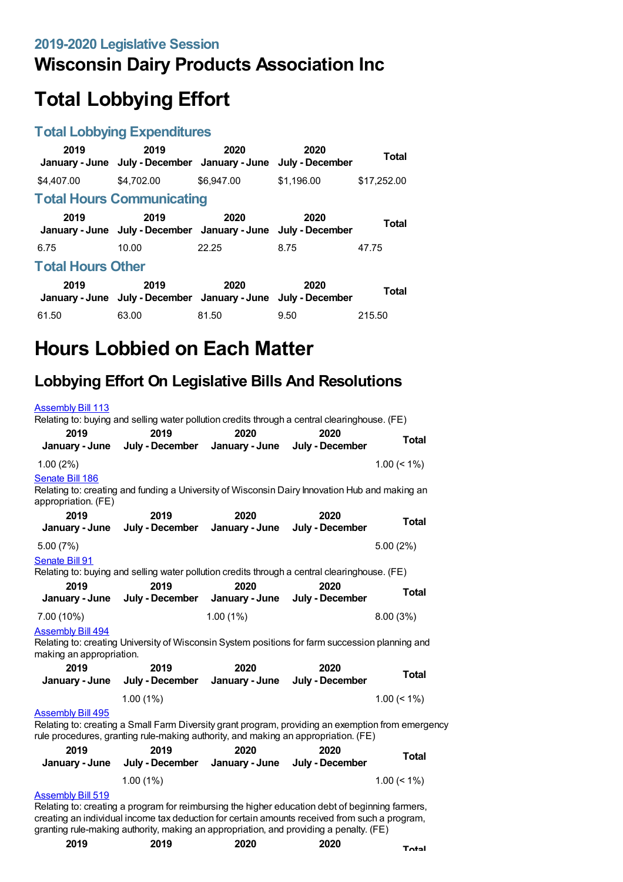# **Wisconsin Dairy Products Association Inc**

# **Total Lobbying Effort**

#### **Total Lobbying Expenditures**

| 2019                     | 2019<br>January - June July - December January - June                 | 2020       | 2020<br>July - December | Total       |
|--------------------------|-----------------------------------------------------------------------|------------|-------------------------|-------------|
| \$4,407.00               | \$4,702.00                                                            | \$6,947.00 | \$1.196.00              | \$17,252.00 |
|                          | <b>Total Hours Communicating</b>                                      |            |                         |             |
| 2019                     | 2019<br>January - June July - December January - June July - December | 2020       | 2020                    | Total       |
| 6.75                     | 10.00                                                                 | 22.25      | 8.75                    | 47.75       |
| <b>Total Hours Other</b> |                                                                       |            |                         |             |
| 2019                     | 2019<br>January - June July - December January - June July - December | 2020       | 2020                    | Total       |
| 61.50                    | 63.00                                                                 | 81.50      | 9.50                    | 215.50      |

# **Hours Lobbied on Each Matter**

# **Lobbying Effort On Legislative Bills And Resolutions**

| <b>Assembly Bill 113</b>               |                                                                                                   |                |                 |                |
|----------------------------------------|---------------------------------------------------------------------------------------------------|----------------|-----------------|----------------|
|                                        | Relating to: buying and selling water pollution credits through a central clearinghouse. (FE)     |                |                 |                |
| 2019                                   | 2019                                                                                              | 2020           | 2020            |                |
| January - June                         | July - December                                                                                   | January - June | July - December | <b>Total</b>   |
| 1.00(2%)                               |                                                                                                   |                |                 | $1.00 \le 1\%$ |
| Senate Bill 186<br>appropriation. (FE) | Relating to: creating and funding a University of Wisconsin Dairy Innovation Hub and making an    |                |                 |                |
| 2019                                   | 2019                                                                                              | 2020           | 2020            |                |
| January - June                         | July - December                                                                                   | January - June | July - December | <b>Total</b>   |
| 5.00 (7%)                              |                                                                                                   |                |                 | 5.00(2%)       |
| Senate Bill 91                         | Relating to: buying and selling water pollution credits through a central clearinghouse. (FE)     |                |                 |                |
| 2019                                   | 2019                                                                                              | 2020           | 2020            |                |
| January - June                         | July - December                                                                                   | January - June | July - December | <b>Total</b>   |
| 7.00 (10%)                             |                                                                                                   | 1.00(1%)       |                 | 8.00 (3%)      |
| <b>Assembly Bill 494</b>               |                                                                                                   |                |                 |                |
| making an appropriation.               | Relating to: creating University of Wisconsin System positions for farm succession planning and   |                |                 |                |
| 2019                                   | 2019                                                                                              | 2020           | 2020            |                |
| January - June                         | July - December                                                                                   | January - June | July - December | <b>Total</b>   |
|                                        | $1.00(1\%)$                                                                                       |                |                 | $1.00 \le 1\%$ |
| <b>Assembly Bill 495</b>               | Relating to: creating a Small Farm Diversity grant program, providing an exemption from emergency |                |                 |                |
|                                        | rule procedures, granting rule-making authority, and making an appropriation. (FE)                |                |                 |                |
| 2019                                   | 2019                                                                                              | 2020           | 2020            | <b>Total</b>   |
| January - June                         | July - December                                                                                   | January - June | July - December |                |
|                                        | 1.00(1%)                                                                                          |                |                 | $1.00 \le 1\%$ |
| <b>Assembly Bill 519</b>               |                                                                                                   |                |                 |                |
|                                        | Relating to: creating a program for reimbursing the higher education debt of beginning farmers,   |                |                 |                |
|                                        | creating an individual income tax deduction for certain amounts received from such a program,     |                |                 |                |
|                                        | granting rule-making authority, making an appropriation, and providing a penalty. (FE)            |                |                 |                |

| 2019 | 2019 | 2020 | 2020 | <b>Total</b> |
|------|------|------|------|--------------|
|------|------|------|------|--------------|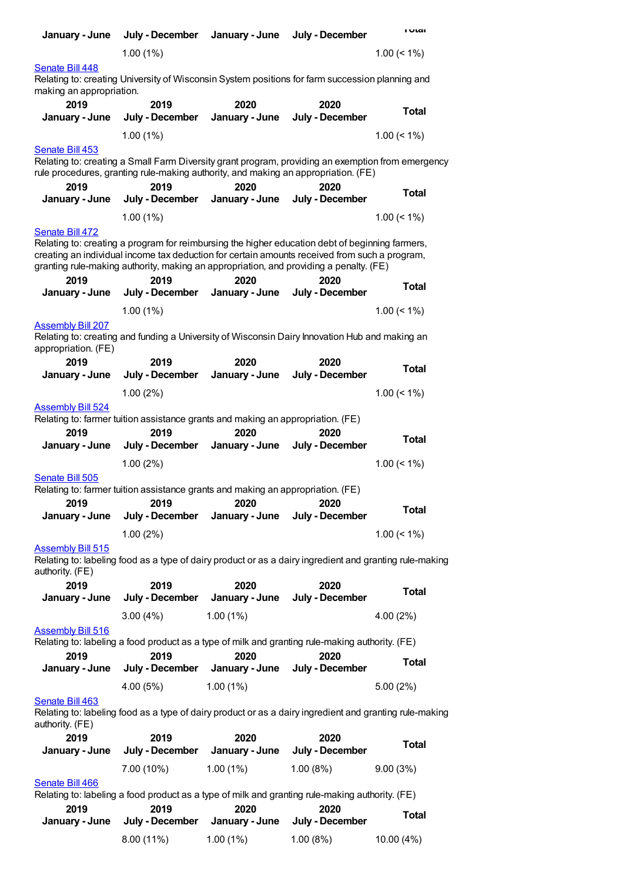| January - June                                  | July - December         | January - June                                                                                                                                                                                                                                                                                     | July - December         | <b>I</b> Utal  |
|-------------------------------------------------|-------------------------|----------------------------------------------------------------------------------------------------------------------------------------------------------------------------------------------------------------------------------------------------------------------------------------------------|-------------------------|----------------|
|                                                 | 1.00(1%)                |                                                                                                                                                                                                                                                                                                    |                         | $1.00 \le 1\%$ |
| Senate Bill 448<br>making an appropriation.     |                         | Relating to: creating University of Wisconsin System positions for farm succession planning and                                                                                                                                                                                                    |                         |                |
| 2019<br>January - June                          | 2019<br>July - December | 2020<br>January - June                                                                                                                                                                                                                                                                             | 2020<br>July - December | <b>Total</b>   |
|                                                 | 1.00(1%)                |                                                                                                                                                                                                                                                                                                    |                         | $1.00 \le 1\%$ |
| Senate Bill 453                                 |                         | Relating to: creating a Small Farm Diversity grant program, providing an exemption from emergency<br>rule procedures, granting rule-making authority, and making an appropriation. (FE)                                                                                                            |                         |                |
| 2019<br>January - June                          | 2019<br>July - December | 2020<br>January - June                                                                                                                                                                                                                                                                             | 2020<br>July - December | <b>Total</b>   |
|                                                 | 1.00(1%)                |                                                                                                                                                                                                                                                                                                    |                         | $1.00 \le 1\%$ |
| Senate Bill 472                                 |                         |                                                                                                                                                                                                                                                                                                    |                         |                |
| 2019                                            | 2019                    | Relating to: creating a program for reimbursing the higher education debt of beginning farmers,<br>creating an individual income tax deduction for certain amounts received from such a program,<br>granting rule-making authority, making an appropriation, and providing a penalty. (FE)<br>2020 | 2020                    |                |
| January - June                                  | July - December         | January - June                                                                                                                                                                                                                                                                                     | July - December         | <b>Total</b>   |
|                                                 | 1.00(1%)                |                                                                                                                                                                                                                                                                                                    |                         | $1.00 \le 1\%$ |
| <b>Assembly Bill 207</b><br>appropriation. (FE) |                         | Relating to: creating and funding a University of Wisconsin Dairy Innovation Hub and making an                                                                                                                                                                                                     |                         |                |
| 2019<br>January - June                          | 2019<br>July - December | 2020<br>January - June                                                                                                                                                                                                                                                                             | 2020<br>July - December | <b>Total</b>   |
|                                                 | 1.00(2%)                |                                                                                                                                                                                                                                                                                                    |                         | $1.00 \le 1\%$ |
| <b>Assembly Bill 524</b><br>2019                | 2019                    | Relating to: farmer tuition assistance grants and making an appropriation. (FE)<br>2020                                                                                                                                                                                                            | 2020                    |                |
| January - June                                  | July - December         | January - June                                                                                                                                                                                                                                                                                     | July - December         | <b>Total</b>   |
|                                                 | 1.00(2%)                |                                                                                                                                                                                                                                                                                                    |                         | $1.00 \le 1\%$ |
| Senate Bill 505<br>2019                         | 2019                    | Relating to: farmer tuition assistance grants and making an appropriation. (FE)<br>2020                                                                                                                                                                                                            | 2020                    |                |
| January - June                                  | July - December         | January - June                                                                                                                                                                                                                                                                                     | July - December         | <b>Total</b>   |
|                                                 | 1.00(2%)                |                                                                                                                                                                                                                                                                                                    |                         | $1.00 \le 1\%$ |
| <b>Assembly Bill 515</b><br>authority. (FE)     |                         | Relating to: labeling food as a type of dairy product or as a dairy ingredient and granting rule-making                                                                                                                                                                                            |                         |                |
| 2019<br>January - June                          | 2019<br>July - December | 2020<br>January - June                                                                                                                                                                                                                                                                             | 2020<br>July - December | <b>Total</b>   |
|                                                 | 3.00(4%)                | $1.00(1\%)$                                                                                                                                                                                                                                                                                        |                         | 4.00 (2%)      |
| <b>Assembly Bill 516</b><br>2019                | 2019                    | Relating to: labeling a food product as a type of milk and granting rule-making authority. (FE)<br>2020                                                                                                                                                                                            | 2020                    |                |
| January - June                                  | July - December         | January - June                                                                                                                                                                                                                                                                                     | July - December         | <b>Total</b>   |
|                                                 | 4.00 (5%)               | 1.00(1%)                                                                                                                                                                                                                                                                                           |                         | 5.00(2%)       |
| Senate Bill 463<br>authority. (FE)              |                         | Relating to: labeling food as a type of dairy product or as a dairy ingredient and granting rule-making                                                                                                                                                                                            |                         |                |
| 2019                                            | 2019                    | 2020                                                                                                                                                                                                                                                                                               | 2020                    | <b>Total</b>   |
| January - June                                  | July - December         | January - June                                                                                                                                                                                                                                                                                     | July - December         |                |
| Senate Bill 466                                 | 7.00 (10%)              | $1.00(1\%)$                                                                                                                                                                                                                                                                                        | 1.00(8%)                | 9.00(3%)       |
|                                                 |                         | Relating to: labeling a food product as a type of milk and granting rule-making authority. (FE)                                                                                                                                                                                                    |                         |                |
| 2019<br>January - June                          | 2019<br>July - December | 2020<br>January - June                                                                                                                                                                                                                                                                             | 2020<br>July - December | <b>Total</b>   |
|                                                 | 8.00 (11%)              | 1.00(1%)                                                                                                                                                                                                                                                                                           | 1.00(8%)                | 10.00 (4%)     |
|                                                 |                         |                                                                                                                                                                                                                                                                                                    |                         |                |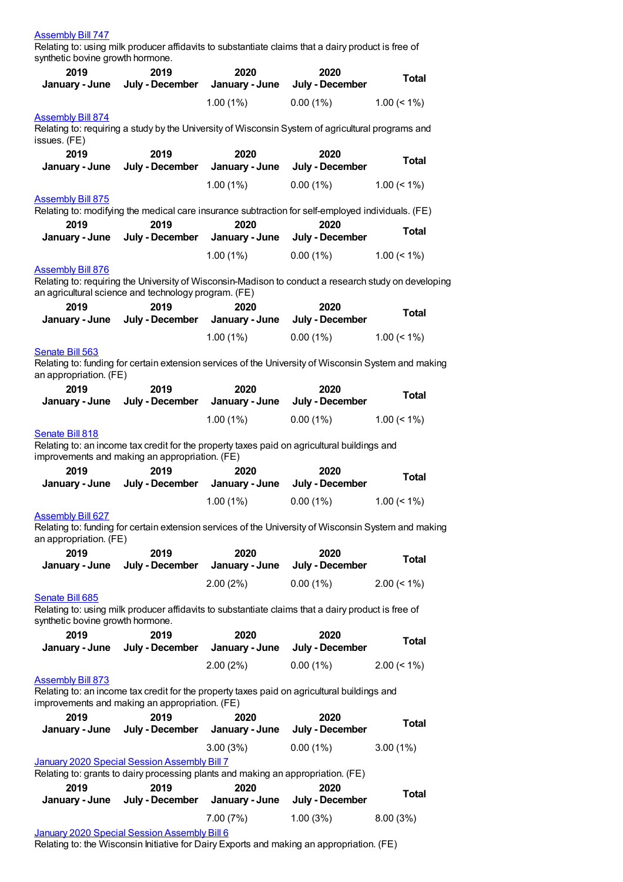#### [Assembly](https://lobbying.wi.gov/What/BillInformation/2019REG/Information/17616?tab=Efforts) Bill 747

Relating to: using milk producer affidavits to substantiate claims that a dairy product is free of synthetic bovine growth hormone.

| 2019                                                                             | 2019                    | 2020                           | 2020                                                                                                 | <b>Total</b>   |
|----------------------------------------------------------------------------------|-------------------------|--------------------------------|------------------------------------------------------------------------------------------------------|----------------|
| January - June                                                                   | July - December         | January - June                 | July - December                                                                                      |                |
|                                                                                  |                         | 1.00(1%)                       | 0.00(1%)                                                                                             | $1.00 \le 1\%$ |
| <b>Assembly Bill 874</b>                                                         |                         |                                | Relating to: requiring a study by the University of Wisconsin System of agricultural programs and    |                |
| issues. (FE)                                                                     |                         |                                |                                                                                                      |                |
| 2019                                                                             | 2019                    | 2020                           | 2020                                                                                                 | <b>Total</b>   |
| January - June                                                                   | July - December         | January - June                 | July - December                                                                                      |                |
|                                                                                  |                         | 1.00(1%)                       | 0.00(1%)                                                                                             | $1.00 \le 1\%$ |
| <b>Assembly Bill 875</b>                                                         |                         |                                | Relating to: modifying the medical care insurance subtraction for self-employed individuals. (FE)    |                |
| 2019                                                                             | 2019                    | 2020                           | 2020                                                                                                 |                |
| January - June                                                                   |                         | July - December January - June | July - December                                                                                      | <b>Total</b>   |
|                                                                                  |                         | 1.00(1%)                       | 0.00(1%)                                                                                             | $1.00 \le 1\%$ |
| <b>Assembly Bill 876</b>                                                         |                         |                                |                                                                                                      |                |
| an agricultural science and technology program. (FE)                             |                         |                                | Relating to: requiring the University of Wisconsin-Madison to conduct a research study on developing |                |
| 2019                                                                             | 2019                    | 2020                           | 2020                                                                                                 |                |
| January - June                                                                   |                         | July - December January - June | July - December                                                                                      | <b>Total</b>   |
|                                                                                  |                         | $1.00(1\%)$                    | 0.00(1%)                                                                                             | $1.00 \le 1\%$ |
| Senate Bill 563                                                                  |                         |                                |                                                                                                      |                |
| an appropriation. (FE)                                                           |                         |                                | Relating to: funding for certain extension services of the University of Wisconsin System and making |                |
| 2019                                                                             | 2019                    | 2020                           | 2020                                                                                                 |                |
| January - June                                                                   | July - December         | January - June                 | July - December                                                                                      | <b>Total</b>   |
|                                                                                  |                         | 1.00(1%)                       | $0.00(1\%)$                                                                                          | $1.00 \le 1\%$ |
| Senate Bill 818                                                                  |                         |                                |                                                                                                      |                |
| improvements and making an appropriation. (FE)                                   |                         |                                | Relating to: an income tax credit for the property taxes paid on agricultural buildings and          |                |
|                                                                                  |                         |                                |                                                                                                      |                |
| 2019                                                                             | 2019                    | 2020                           | 2020                                                                                                 |                |
| January - June                                                                   |                         | July - December January - June | July - December                                                                                      | <b>Total</b>   |
|                                                                                  |                         | 1.00(1%)                       | 0.00(1%)                                                                                             | $1.00 \le 1\%$ |
| <b>Assembly Bill 627</b>                                                         |                         |                                |                                                                                                      |                |
|                                                                                  |                         |                                | Relating to: funding for certain extension services of the University of Wisconsin System and making |                |
| an appropriation. (FE)<br>2019                                                   | 2019                    | 2020                           | 2020                                                                                                 |                |
| January - June                                                                   | July - December         | January - June                 | July - December                                                                                      | <b>Total</b>   |
|                                                                                  |                         | 2.00(2%)                       | 0.00(1%)                                                                                             | $2.00 \le 1\%$ |
| Senate Bill 685                                                                  |                         |                                |                                                                                                      |                |
|                                                                                  |                         |                                | Relating to: using milk producer affidavits to substantiate claims that a dairy product is free of   |                |
| synthetic bovine growth hormone.<br>2019                                         | 2019                    | 2020                           | 2020                                                                                                 |                |
| January - June                                                                   | July - December         | January - June                 | July - December                                                                                      | <b>Total</b>   |
|                                                                                  |                         | 2.00(2%)                       | $0.00(1\%)$                                                                                          | $2.00 \le 1\%$ |
| <b>Assembly Bill 873</b>                                                         |                         |                                |                                                                                                      |                |
|                                                                                  |                         |                                | Relating to: an income tax credit for the property taxes paid on agricultural buildings and          |                |
| improvements and making an appropriation. (FE)<br>2019                           | 2019                    | 2020                           | 2020                                                                                                 |                |
| January - June                                                                   | July - December         | January - June                 | July - December                                                                                      | <b>Total</b>   |
|                                                                                  |                         | 3.00(3%)                       | 0.00(1%)                                                                                             | $3.00(1\%)$    |
| January 2020 Special Session Assembly Bill 7                                     |                         |                                |                                                                                                      |                |
| Relating to: grants to dairy processing plants and making an appropriation. (FE) |                         |                                |                                                                                                      |                |
| 2019<br>January - June                                                           | 2019<br>July - December | 2020<br>January - June         | 2020<br>July - December                                                                              | <b>Total</b>   |
|                                                                                  |                         | 7.00 (7%)                      | 1.00(3%)                                                                                             | 8.00(3%)       |

Relating to: the Wisconsin Initiative for Dairy Exports and making an appropriation. (FE)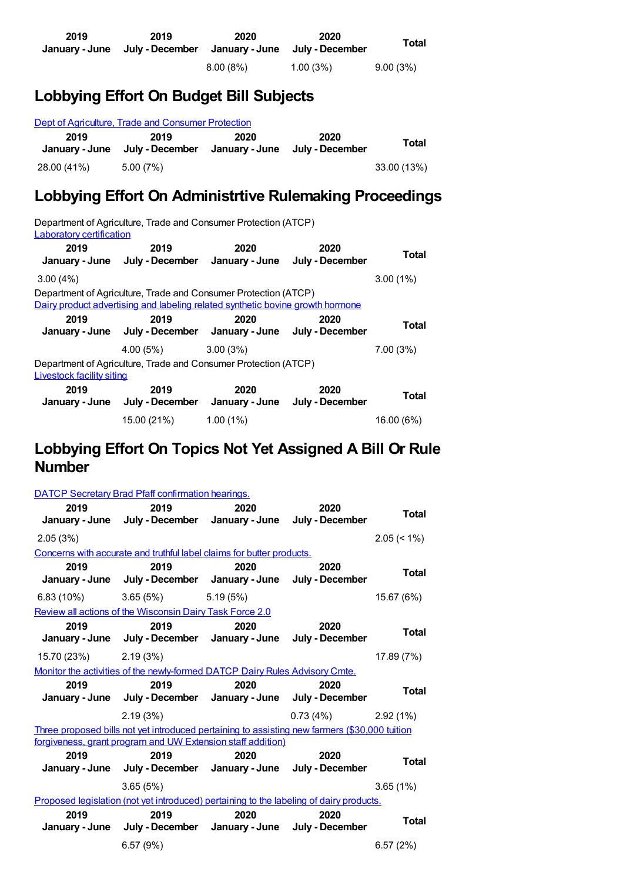| 2019 | 2019<br>January - June July - December | 2020     | 2020<br>January - June July - December | <b>Total</b> |
|------|----------------------------------------|----------|----------------------------------------|--------------|
|      |                                        | 8.00(8%) | $1.00(3\%)$                            | 9.00(3%)     |

## **Lobbying Effort On Budget Bill Subjects**

| Dept of Agriculture, Trade and Consumer Protection |                         |                        |                         |             |
|----------------------------------------------------|-------------------------|------------------------|-------------------------|-------------|
| 2019<br>January - June                             | 2019<br>July - December | 2020<br>January - June | 2020<br>July - December | Total       |
| 28.00 (41%)                                        | 5.00(7%)                |                        |                         | 33.00 (13%) |

## **Lobbying Effort On Administrtive Rulemaking Proceedings**

Department of Agriculture, Trade and Consumer Protection (ATCP) Laboratory [certification](https://lobbying.wi.gov/What/AdministrativeRuleInformation/2017REG/Information/5731?tab=Efforts) **2019 January - June July - December January - June July - December 2019 2020 2020 Total** 3.00 (4%) 3.00 (1%) Department of Agriculture, Trade and Consumer Protection (ATCP) Dairy product [advertising](https://lobbying.wi.gov/What/AdministrativeRuleInformation/2019REG/Information/7733?tab=Efforts) and labeling related synthetic bovine growth hormone **2019 January - June 2019 July - December January - June July - December 2020 2020 Total** 4.00 (5%) 3.00 (3%) 7.00 (3%) Department of Agriculture, Trade and Consumer Protection (ATCP) [Livestock](https://lobbying.wi.gov/What/AdministrativeRuleInformation/2015REG/Information/4881?tab=Efforts) facility siting **2019 January - June 2019 July - December 2020 January - June July - December 2020 Total** 15.00 (21%) 1.00 (1%) 16.00 (6%)

## **Lobbying Effort On Topics Not Yet Assigned A Bill Or Rule Number**

|             | <b>DATCP Secretary Brad Pfaff confirmation hearings.</b>                                      |          |                        |                |
|-------------|-----------------------------------------------------------------------------------------------|----------|------------------------|----------------|
| 2019        | 2019<br>January - June July - December January - June July - December                         | 2020     | 2020                   | <b>Total</b>   |
| 2.05(3%)    |                                                                                               |          |                        | $2.05 \le 1\%$ |
|             | Concerns with accurate and truthful label claims for butter products.                         |          |                        |                |
| 2019        | 2019<br>January - June July - December January - June July - December                         | 2020     | 2020                   | <b>Total</b>   |
| 6.83 (10%)  | 3.65(5%)                                                                                      | 5.19(5%) |                        | 15.67 (6%)     |
|             | Review all actions of the Wisconsin Dairy Task Force 2.0                                      |          |                        |                |
| 2019        | 2019<br>January - June July - December January - June July - December                         | 2020     | 2020                   | <b>Total</b>   |
| 15.70 (23%) | 2.19(3%)                                                                                      |          |                        | 17.89 (7%)     |
|             | Monitor the activities of the newly-formed DATCP Dairy Rules Advisory Cmte.                   |          |                        |                |
|             |                                                                                               |          |                        |                |
| 2019        | 2019                                                                                          | 2020     | 2020                   | <b>Total</b>   |
|             | January - June July - December January - June July - December                                 |          |                        |                |
|             | 2.19(3%)                                                                                      |          | $0.73(4%)$ 2.92 $(1%)$ |                |
|             | Three proposed bills not yet introduced pertaining to assisting new farmers (\$30,000 tuition |          |                        |                |
|             | forgiveness, grant program and UW Extension staff addition)                                   |          |                        |                |
| 2019        | 2019<br>January - June July - December January - June July - December                         | 2020     | 2020                   | <b>Total</b>   |
|             | 3.65(5%)                                                                                      |          |                        | 3.65(1%)       |
|             | Proposed legislation (not yet introduced) pertaining to the labeling of dairy products.       |          |                        |                |
| 2019        | 2019<br>January - June July - December January - June July - December                         | 2020     | 2020                   | <b>Total</b>   |